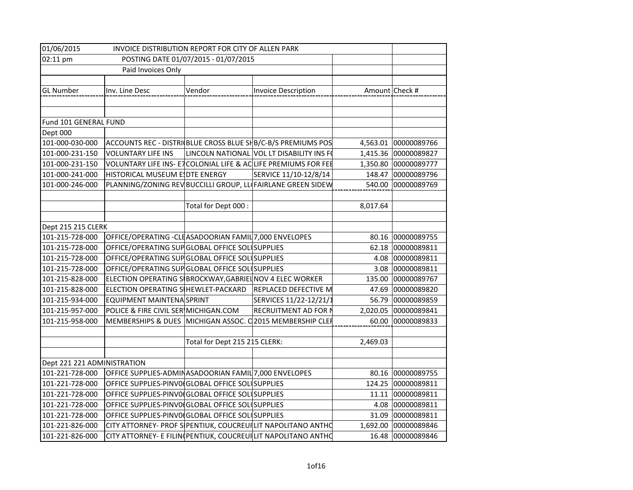| 01/06/2015<br>INVOICE DISTRIBUTION REPORT FOR CITY OF ALLEN PARK |                                                          |                               |                                                                 |          |                      |
|------------------------------------------------------------------|----------------------------------------------------------|-------------------------------|-----------------------------------------------------------------|----------|----------------------|
| 02:11 pm                                                         | POSTING DATE 01/07/2015 - 01/07/2015                     |                               |                                                                 |          |                      |
|                                                                  | Paid Invoices Only                                       |                               |                                                                 |          |                      |
|                                                                  |                                                          |                               |                                                                 |          |                      |
| <b>GL Number</b>                                                 | Inv. Line Desc                                           | Vendor                        | Invoice Description                                             |          | Amount Check #       |
|                                                                  |                                                          |                               |                                                                 |          |                      |
|                                                                  |                                                          |                               |                                                                 |          |                      |
| Fund 101 GENERAL FUND                                            |                                                          |                               |                                                                 |          |                      |
| Dept 000                                                         |                                                          |                               |                                                                 |          |                      |
| 101-000-030-000                                                  |                                                          |                               | ACCOUNTS REC - DISTRI(BLUE CROSS BLUE SHB/C-B/S PREMIUMS POS    |          | 4,563.01 00000089766 |
| 101-000-231-150                                                  | <b>VOLUNTARY LIFE INS</b>                                |                               | LINCOLN NATIONAL VOL LT DISABILITY INS FO                       | 1,415.36 | 00000089827          |
| 101-000-231-150                                                  |                                                          |                               | VOLUNTARY LIFE INS- E7 COLONIAL LIFE & AC LIFE PREMIUMS FOR FEE | 1,350.80 | 00000089777          |
| 101-000-241-000                                                  | HISTORICAL MUSEUM E DTE ENERGY                           |                               | SERVICE 11/10-12/8/14                                           | 148.47   | 00000089796          |
| 101-000-246-000                                                  |                                                          |                               | PLANNING/ZONING REV BUCCILLI GROUP, LL FAIRLANE GREEN SIDEW     | 540.00   | 00000089769          |
|                                                                  |                                                          |                               |                                                                 |          |                      |
|                                                                  |                                                          | Total for Dept 000:           |                                                                 | 8,017.64 |                      |
|                                                                  |                                                          |                               |                                                                 |          |                      |
| Dept 215 215 CLERK                                               |                                                          |                               |                                                                 |          |                      |
| 101-215-728-000                                                  | OFFICE/OPERATING - CLEASADOORIAN FAMIL 7,000 ENVELOPES   |                               |                                                                 |          | 80.16 00000089755    |
| 101-215-728-000                                                  | OFFICE/OPERATING SUP GLOBAL OFFICE SOLUSUPPLIES          |                               |                                                                 | 62.18    | 00000089811          |
| 101-215-728-000                                                  | OFFICE/OPERATING SUP GLOBAL OFFICE SOLUSUPPLIES          |                               |                                                                 |          | 4.08 00000089811     |
| 101-215-728-000                                                  | OFFICE/OPERATING SUP GLOBAL OFFICE SOLUSUPPLIES          |                               |                                                                 | 3.08     | 00000089811          |
| 101-215-828-000                                                  | ELECTION OPERATING S BROCKWAY, GABRIEL NOV 4 ELEC WORKER |                               |                                                                 | 135.00   | 00000089767          |
| 101-215-828-000                                                  | ELECTION OPERATING S HEWLET-PACKARD                      |                               | REPLACED DEFECTIVE M                                            | 47.69    | 00000089820          |
| 101-215-934-000                                                  | <b>EQUIPMENT MAINTENA SPRINT</b>                         |                               | SERVICES 11/22-12/21/1                                          | 56.79    | 00000089859          |
| 101-215-957-000                                                  | POLICE & FIRE CIVIL SER MICHIGAN.COM                     |                               | RECRUITMENT AD FOR N                                            | 2,020.05 | 00000089841          |
| 101-215-958-000                                                  |                                                          |                               | MEMBERSHIPS & DUES MICHIGAN ASSOC. 02015 MEMBERSHIP CLEF        | 60.00    | 00000089833          |
|                                                                  |                                                          |                               |                                                                 |          |                      |
|                                                                  |                                                          | Total for Dept 215 215 CLERK: |                                                                 | 2,469.03 |                      |
|                                                                  |                                                          |                               |                                                                 |          |                      |
| Dept 221 221 ADMINISTRATION                                      |                                                          |                               |                                                                 |          |                      |
| 101-221-728-000                                                  | OFFICE SUPPLIES-ADMINASADOORIAN FAMIL 7,000 ENVELOPES    |                               |                                                                 |          | 80.16 00000089755    |
| 101-221-728-000                                                  | OFFICE SUPPLIES-PINVO(GLOBAL OFFICE SOLUSUPPLIES         |                               |                                                                 |          | 124.25 00000089811   |
| 101-221-728-000                                                  | OFFICE SUPPLIES-PINVO(GLOBAL OFFICE SOL SUPPLIES         |                               |                                                                 |          | 11.11 00000089811    |
| 101-221-728-000                                                  | OFFICE SUPPLIES-PINVO(GLOBAL OFFICE SOL SUPPLIES         |                               |                                                                 |          | 4.08 00000089811     |
| 101-221-728-000                                                  | OFFICE SUPPLIES-PINVO(GLOBAL OFFICE SOL SUPPLIES         |                               |                                                                 |          | 31.09 00000089811    |
| 101-221-826-000                                                  |                                                          |                               | CITY ATTORNEY- PROF S PENTIUK, COUCREURLIT NAPOLITANO ANTHO     |          | 1,692.00 00000089846 |
| 101-221-826-000                                                  |                                                          |                               | CITY ATTORNEY- E FILIN PENTIUK, COUCREUR LIT NAPOLITANO ANTHO   |          | 16.48 00000089846    |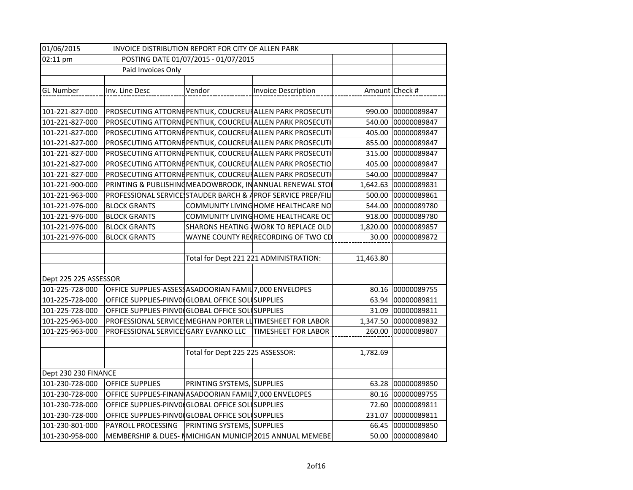| 01/06/2015<br>INVOICE DISTRIBUTION REPORT FOR CITY OF ALLEN PARK |                                                          |                                  |                                                              |           |                    |
|------------------------------------------------------------------|----------------------------------------------------------|----------------------------------|--------------------------------------------------------------|-----------|--------------------|
| 02:11 pm<br>POSTING DATE 01/07/2015 - 01/07/2015                 |                                                          |                                  |                                                              |           |                    |
|                                                                  | Paid Invoices Only                                       |                                  |                                                              |           |                    |
|                                                                  |                                                          |                                  |                                                              |           |                    |
| <b>GL Number</b>                                                 | Inv. Line Desc                                           | Vendor                           | <b>Invoice Description</b>                                   |           | Amount Check #     |
|                                                                  |                                                          |                                  |                                                              |           |                    |
| 101-221-827-000                                                  |                                                          |                                  | PROSECUTING ATTORNE PENTIUK, COUCREUR ALLEN PARK PROSECUTI   |           | 990.00 00000089847 |
| 101-221-827-000                                                  |                                                          |                                  | PROSECUTING ATTORNE PENTIUK, COUCREUR ALLEN PARK PROSECUTI   |           | 540.00 00000089847 |
| 101-221-827-000                                                  |                                                          |                                  | PROSECUTING ATTORNE PENTIUK, COUCREUR ALLEN PARK PROSECUTI   |           | 405.00 00000089847 |
| 101-221-827-000                                                  |                                                          |                                  | PROSECUTING ATTORNE PENTIUK, COUCREUR ALLEN PARK PROSECUTI   | 855.00    | 00000089847        |
| 101-221-827-000                                                  |                                                          |                                  | PROSECUTING ATTORNE PENTIUK, COUCREUR ALLEN PARK PROSECUTI   | 315.00    | 00000089847        |
| 101-221-827-000                                                  |                                                          |                                  | PROSECUTING ATTORNE PENTIUK, COUCREUR ALLEN PARK PROSECTIO   | 405.00    | 00000089847        |
| 101-221-827-000                                                  |                                                          |                                  | PROSECUTING ATTORNE PENTIUK, COUCREUR ALLEN PARK PROSECUTI   | 540.00    | 00000089847        |
| 101-221-900-000                                                  |                                                          |                                  | PRINTING & PUBLISHING MEADOWBROOK, IN ANNUAL RENEWAL STO     | 1,642.63  | 00000089831        |
| 101-221-963-000                                                  |                                                          |                                  | PROFESSIONAL SERVICE STAUDER BARCH & APROF SERVICE PREP/FILI | 500.00    | 00000089861        |
| 101-221-976-000                                                  | <b>BLOCK GRANTS</b>                                      |                                  | COMMUNITY LIVING HOME HEALTHCARE NO                          | 544.00    | 00000089780        |
| 101-221-976-000                                                  | <b>BLOCK GRANTS</b>                                      |                                  | COMMUNITY LIVING HOME HEALTHCARE OCT                         | 918.00    | 00000089780        |
| 101-221-976-000                                                  | <b>BLOCK GRANTS</b>                                      |                                  | SHARONS HEATING WORK TO REPLACE OLD                          | 1,820.00  | 00000089857        |
| 101-221-976-000                                                  | <b>BLOCK GRANTS</b>                                      |                                  | WAYNE COUNTY RECRECORDING OF TWO CD                          | 30.00     | 00000089872        |
|                                                                  |                                                          |                                  |                                                              |           |                    |
|                                                                  |                                                          |                                  | Total for Dept 221 221 ADMINISTRATION:                       | 11,463.80 |                    |
|                                                                  |                                                          |                                  |                                                              |           |                    |
| Dept 225 225 ASSESSOR                                            |                                                          |                                  |                                                              |           |                    |
| 101-225-728-000                                                  | OFFICE SUPPLIES-ASSESS ASADOORIAN FAMIL 7,000 ENVELOPES  |                                  |                                                              | 80.16     | 00000089755        |
| 101-225-728-000                                                  | OFFICE SUPPLIES-PINVO(GLOBAL OFFICE SOL SUPPLIES         |                                  |                                                              | 63.94     | 00000089811        |
| 101-225-728-000                                                  | OFFICE SUPPLIES-PINVO(GLOBAL OFFICE SOL SUPPLIES         |                                  |                                                              | 31.09     | 00000089811        |
| 101-225-963-000                                                  | PROFESSIONAL SERVICE MEGHAN PORTER LUTIMESHEET FOR LABOR |                                  |                                                              | 1,347.50  | 00000089832        |
| 101-225-963-000                                                  | PROFESSIONAL SERVICE GARY EVANKO LLC                     |                                  | TIMESHEET FOR LABOR                                          | 260.00    | 00000089807        |
|                                                                  |                                                          |                                  |                                                              |           |                    |
|                                                                  |                                                          | Total for Dept 225 225 ASSESSOR: |                                                              | 1,782.69  |                    |
|                                                                  |                                                          |                                  |                                                              |           |                    |
| Dept 230 230 FINANCE                                             |                                                          |                                  |                                                              |           |                    |
| 101-230-728-000                                                  | <b>OFFICE SUPPLIES</b>                                   | PRINTING SYSTEMS, SUPPLIES       |                                                              |           | 63.28 00000089850  |
| 101-230-728-000                                                  | OFFICE SUPPLIES-FINAN ASADOORIAN FAMIL 7,000 ENVELOPES   |                                  |                                                              |           | 80.16 00000089755  |
| 101-230-728-000                                                  | OFFICE SUPPLIES-PINVO(GLOBAL OFFICE SOL SUPPLIES         |                                  |                                                              |           | 72.60 00000089811  |
| 101-230-728-000                                                  | OFFICE SUPPLIES-PINVO(GLOBAL OFFICE SOL SUPPLIES         |                                  |                                                              |           | 231.07 00000089811 |
| 101-230-801-000                                                  | PAYROLL PROCESSING                                       | PRINTING SYSTEMS, SUPPLIES       |                                                              |           | 66.45 00000089850  |
| 101-230-958-000                                                  |                                                          |                                  | MEMBERSHIP & DUES- NMICHIGAN MUNICIP 2015 ANNUAL MEMEBE      |           | 50.00 00000089840  |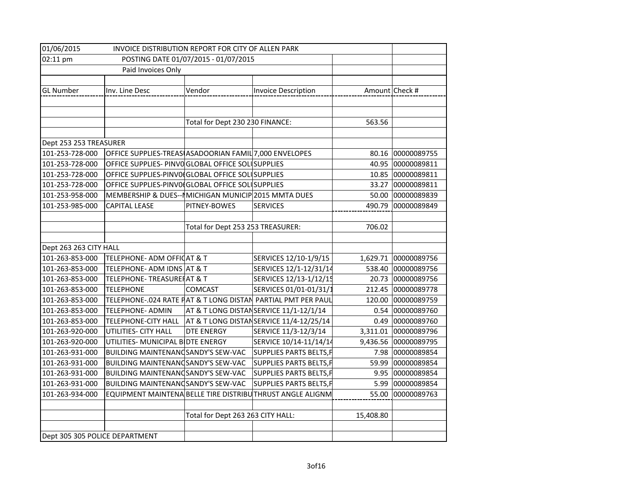| 01/06/2015<br>INVOICE DISTRIBUTION REPORT FOR CITY OF ALLEN PARK |                                                        |                                   |                                                              |                |                      |
|------------------------------------------------------------------|--------------------------------------------------------|-----------------------------------|--------------------------------------------------------------|----------------|----------------------|
| 02:11 pm<br>POSTING DATE 01/07/2015 - 01/07/2015                 |                                                        |                                   |                                                              |                |                      |
|                                                                  | Paid Invoices Only                                     |                                   |                                                              |                |                      |
|                                                                  |                                                        |                                   |                                                              |                |                      |
| <b>GL Number</b>                                                 | Inv. Line Desc                                         | Vendor                            | <b>Invoice Description</b>                                   | Amount Check # |                      |
|                                                                  |                                                        |                                   |                                                              |                |                      |
|                                                                  |                                                        |                                   |                                                              |                |                      |
|                                                                  |                                                        | Total for Dept 230 230 FINANCE:   |                                                              | 563.56         |                      |
|                                                                  |                                                        |                                   |                                                              |                |                      |
| Dept 253 253 TREASURER                                           |                                                        |                                   |                                                              |                |                      |
| 101-253-728-000                                                  | OFFICE SUPPLIES-TREAS ASADOORIAN FAMIL 7,000 ENVELOPES |                                   |                                                              |                | 80.16 00000089755    |
| 101-253-728-000                                                  | OFFICE SUPPLIES- PINVO GLOBAL OFFICE SOLUSUPPLIES      |                                   |                                                              |                | 40.95 00000089811    |
| 101-253-728-000                                                  | OFFICE SUPPLIES-PINVO(GLOBAL OFFICE SOL SUPPLIES       |                                   |                                                              |                | 10.85 00000089811    |
| 101-253-728-000                                                  | OFFICE SUPPLIES-PINVO GLOBAL OFFICE SOLUSUPPLIES       |                                   |                                                              | 33.27          | 00000089811          |
| 101-253-958-000                                                  | MEMBERSHIP & DUES-- MICHIGAN MUNICIP 2015 MMTA DUES    |                                   |                                                              | 50.00          | 00000089839          |
| 101-253-985-000                                                  | <b>CAPITAL LEASE</b>                                   | PITNEY-BOWES                      | <b>SERVICES</b>                                              | 490.79         | 00000089849          |
|                                                                  |                                                        |                                   |                                                              |                |                      |
|                                                                  |                                                        | Total for Dept 253 253 TREASURER: |                                                              | 706.02         |                      |
|                                                                  |                                                        |                                   |                                                              |                |                      |
| Dept 263 263 CITY HALL                                           |                                                        |                                   |                                                              |                |                      |
| 101-263-853-000                                                  | TELEPHONE- ADM OFFICAT & T                             |                                   | SERVICES 12/10-1/9/15                                        |                | 1,629.71 00000089756 |
| 101-263-853-000                                                  | TELEPHONE- ADM IDNS AT & T                             |                                   | SERVICES 12/1-12/31/14                                       | 538.40         | 00000089756          |
| 101-263-853-000                                                  | TELEPHONE-TREASUREHAT & T                              |                                   | SERVICES 12/13-1/12/15                                       | 20.73          | 00000089756          |
| 101-263-853-000                                                  | <b>TELEPHONE</b>                                       | <b>COMCAST</b>                    | SERVICES 01/01-01/31/1                                       | 212.45         | 00000089778          |
| 101-263-853-000                                                  |                                                        |                                   | TELEPHONE-.024 RATE PAT & T LONG DISTAN PARTIAL PMT PER PAUL | 120.00         | 00000089759          |
| 101-263-853-000                                                  | <b>TELEPHONE- ADMIN</b>                                |                                   | AT & T LONG DISTANSERVICE 11/1-12/1/14                       | 0.54           | 00000089760          |
| 101-263-853-000                                                  | <b>TELEPHONE-CITY HALL</b>                             |                                   | AT & T LONG DISTANSERVICE 11/4-12/25/14                      | 0.49           | 00000089760          |
| 101-263-920-000                                                  | UTILITIES- CITY HALL                                   | <b>DTE ENERGY</b>                 | SERVICE 11/3-12/3/14                                         | 3,311.01       | 00000089796          |
| 101-263-920-000                                                  | UTILITIES- MUNICIPAL BIDTE ENERGY                      |                                   | SERVICE 10/14-11/14/14                                       |                | 9,436.56 00000089795 |
| 101-263-931-000                                                  | BUILDING MAINTENANDSANDY'S SEW-VAC                     |                                   | SUPPLIES PARTS BELTS, F                                      |                | 7.98 00000089854     |
| 101-263-931-000                                                  | BUILDING MAINTENANCSANDY'S SEW-VAC                     |                                   | <b>SUPPLIES PARTS BELTS, F</b>                               | 59.99          | 00000089854          |
| 101-263-931-000                                                  | BUILDING MAINTENANCSANDY'S SEW-VAC                     |                                   | SUPPLIES PARTS BELTS, F                                      |                | 9.95 00000089854     |
| 101-263-931-000                                                  | BUILDING MAINTENANCSANDY'S SEW-VAC                     |                                   | SUPPLIES PARTS BELTS, F                                      |                | 5.99 00000089854     |
| 101-263-934-000                                                  |                                                        |                                   | EQUIPMENT MAINTENA BELLE TIRE DISTRIBU THRUST ANGLE ALIGNM   | 55.00          | 00000089763          |
|                                                                  |                                                        |                                   |                                                              |                |                      |
|                                                                  |                                                        | Total for Dept 263 263 CITY HALL: |                                                              | 15,408.80      |                      |
|                                                                  |                                                        |                                   |                                                              |                |                      |
| Dept 305 305 POLICE DEPARTMENT                                   |                                                        |                                   |                                                              |                |                      |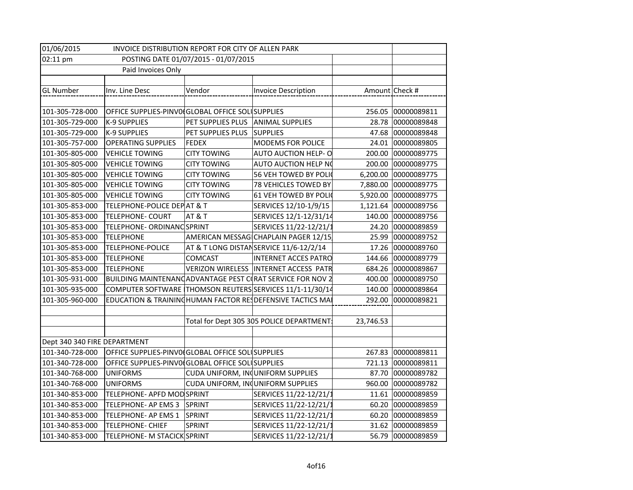| 01/06/2015<br>INVOICE DISTRIBUTION REPORT FOR CITY OF ALLEN PARK |                                                  |                                   |                                                            |                |                    |
|------------------------------------------------------------------|--------------------------------------------------|-----------------------------------|------------------------------------------------------------|----------------|--------------------|
| 02:11 pm<br>POSTING DATE 01/07/2015 - 01/07/2015                 |                                                  |                                   |                                                            |                |                    |
| Paid Invoices Only                                               |                                                  |                                   |                                                            |                |                    |
|                                                                  |                                                  |                                   |                                                            |                |                    |
| <b>GL Number</b>                                                 | Inv. Line Desc                                   | Vendor                            | <b>Invoice Description</b>                                 | Amount Check # |                    |
|                                                                  |                                                  |                                   |                                                            |                |                    |
| 101-305-728-000                                                  | OFFICE SUPPLIES-PINVO(GLOBAL OFFICE SOL SUPPLIES |                                   |                                                            |                | 256.05 00000089811 |
| 101-305-729-000                                                  | <b>K-9 SUPPLIES</b>                              | PET SUPPLIES PLUS ANIMAL SUPPLIES |                                                            | 28.78          | 00000089848        |
| 101-305-729-000                                                  | K-9 SUPPLIES                                     | PET SUPPLIES PLUS                 | <b>SUPPLIES</b>                                            |                | 47.68 00000089848  |
| 101-305-757-000                                                  | <b>OPERATING SUPPLIES</b>                        | <b>FEDEX</b>                      | <b>MODEMS FOR POLICE</b>                                   | 24.01          | 00000089805        |
| 101-305-805-000                                                  | <b>VEHICLE TOWING</b>                            | <b>CITY TOWING</b>                | <b>AUTO AUCTION HELP- O</b>                                | 200.00         | 00000089775        |
| 101-305-805-000                                                  | <b>VEHICLE TOWING</b>                            | <b>CITY TOWING</b>                | AUTO AUCTION HELP NO                                       | 200.00         | 00000089775        |
| 101-305-805-000                                                  | <b>VEHICLE TOWING</b>                            | <b>CITY TOWING</b>                | 56 VEH TOWED BY POLIC                                      | 6,200.00       | 00000089775        |
| 101-305-805-000                                                  | <b>VEHICLE TOWING</b>                            | <b>CITY TOWING</b>                | 78 VEHICLES TOWED BY                                       | 7,880.00       | 00000089775        |
| 101-305-805-000                                                  | <b>VEHICLE TOWING</b>                            | <b>CITY TOWING</b>                | 61 VEH TOWED BY POLI                                       | 5,920.00       | 00000089775        |
| 101-305-853-000                                                  | TELEPHONE-POLICE DEPAT & T                       |                                   | SERVICES 12/10-1/9/15                                      | 1,121.64       | 00000089756        |
| 101-305-853-000                                                  | <b>TELEPHONE- COURT</b>                          | AT&T                              | SERVICES 12/1-12/31/14                                     | 140.00         | 00000089756        |
| 101-305-853-000                                                  | TELEPHONE- ORDINANC SPRINT                       |                                   | SERVICES 11/22-12/21/1                                     | 24.20          | 00000089859        |
| 101-305-853-000                                                  | <b>TELEPHONE</b>                                 |                                   | AMERICAN MESSAGICHAPLAIN PAGER 12/15                       | 25.99          | 00000089752        |
| 101-305-853-000                                                  | <b>TELEPHONE-POLICE</b>                          |                                   | AT & T LONG DISTANSERVICE 11/6-12/2/14                     | 17.26          | 00000089760        |
| 101-305-853-000                                                  | <b>TELEPHONE</b>                                 | <b>COMCAST</b>                    | <b>INTERNET ACCES PATRO</b>                                | 144.66         | 00000089779        |
| 101-305-853-000                                                  | <b>TELEPHONE</b>                                 |                                   | VERIZON WIRELESS INTERNET ACCESS PATR                      | 684.26         | 00000089867        |
| 101-305-931-000                                                  |                                                  |                                   | BUILDING MAINTENANCADVANTAGE PEST CORAT SERVICE FOR NOV 2  | 400.00         | 00000089750        |
| 101-305-935-000                                                  |                                                  |                                   | COMPUTER SOFTWARE THOMSON REUTERS SERVICES 11/1-11/30/14   | 140.00         | 00000089864        |
| 101-305-960-000                                                  |                                                  |                                   | EDUCATION & TRAINING HUMAN FACTOR RESDEFENSIVE TACTICS MAI | 292.00         | 00000089821        |
|                                                                  |                                                  |                                   |                                                            |                |                    |
|                                                                  |                                                  |                                   | Total for Dept 305 305 POLICE DEPARTMENT:                  | 23,746.53      |                    |
|                                                                  |                                                  |                                   |                                                            |                |                    |
| Dept 340 340 FIRE DEPARTMENT                                     |                                                  |                                   |                                                            |                |                    |
| 101-340-728-000                                                  | OFFICE SUPPLIES-PINVO(GLOBAL OFFICE SOL SUPPLIES |                                   |                                                            |                | 267.83 00000089811 |
| 101-340-728-000                                                  | OFFICE SUPPLIES-PINVO(GLOBAL OFFICE SOL SUPPLIES |                                   |                                                            |                | 721.13 00000089811 |
| 101-340-768-000                                                  | <b>UNIFORMS</b>                                  |                                   | CUDA UNIFORM, INQUNIFORM SUPPLIES                          | 87.70          | 00000089782        |
| 101-340-768-000                                                  | <b>UNIFORMS</b>                                  |                                   | CUDA UNIFORM, INQUNIFORM SUPPLIES                          | 960.00         | 00000089782        |
| 101-340-853-000                                                  | TELEPHONE- APFD MOD SPRINT                       |                                   | SERVICES 11/22-12/21/1                                     |                | 11.61 00000089859  |
| 101-340-853-000                                                  | TELEPHONE- AP EMS 3                              | SPRINT                            | SERVICES 11/22-12/21/1                                     |                | 60.20 00000089859  |
| 101-340-853-000                                                  | TELEPHONE- AP EMS 1                              | SPRINT                            | SERVICES 11/22-12/21/1                                     |                | 60.20 00000089859  |
| 101-340-853-000                                                  | TELEPHONE- CHIEF                                 | <b>SPRINT</b>                     | SERVICES 11/22-12/21/1                                     | 31.62          | 00000089859        |
| 101-340-853-000                                                  | TELEPHONE- M STACICK SPRINT                      |                                   | SERVICES 11/22-12/21/1                                     | 56.79          | 00000089859        |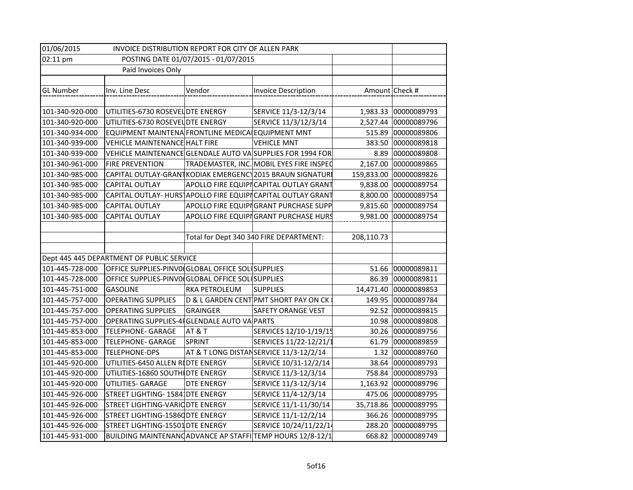| 01/06/2015<br>INVOICE DISTRIBUTION REPORT FOR CITY OF ALLEN PARK |                                                   |                 |                                                             |            |                       |
|------------------------------------------------------------------|---------------------------------------------------|-----------------|-------------------------------------------------------------|------------|-----------------------|
| 02:11 pm<br>POSTING DATE 01/07/2015 - 01/07/2015                 |                                                   |                 |                                                             |            |                       |
|                                                                  | Paid Invoices Only                                |                 |                                                             |            |                       |
|                                                                  |                                                   |                 |                                                             |            |                       |
| <b>GL Number</b>                                                 | Inv. Line Desc                                    | Vendor          | <b>Invoice Description</b>                                  |            | Amount Check #        |
|                                                                  |                                                   |                 |                                                             |            |                       |
| 101-340-920-000                                                  | UTILITIES-6730 ROSEVEL DTE ENERGY                 |                 | SERVICE 11/3-12/3/14                                        |            | 1,983.33 00000089793  |
| 101-340-920-000                                                  | UTILITIES-6730 ROSEVEL DTE ENERGY                 |                 | SERVICE 11/3/12/3/14                                        |            | 2,527.44 00000089796  |
| 101-340-934-000                                                  | EQUIPMENT MAINTENA FRONTLINE MEDICALEQUIPMENT MNT |                 |                                                             |            | 515.89 00000089806    |
| 101-340-939-000                                                  | <b>VEHICLE MAINTENANCE HALT FIRE</b>              |                 | <b>VEHICLE MNT</b>                                          | 383.50     | 00000089818           |
| 101-340-939-000                                                  |                                                   |                 | VEHICLE MAINTENANCE GLENDALE AUTO VA SUPPLIES FOR 1994 FOR  | 8.89       | 00000089808           |
| 101-340-961-000                                                  | <b>FIRE PREVENTION</b>                            |                 | TRADEMASTER, INC. MOBIL EYES FIRE INSPEC                    | 2,167.00   | 00000089865           |
| 101-340-985-000                                                  |                                                   |                 | CAPITAL OUTLAY-GRANT KODIAK EMERGENC 2015 BRAUN SIGNATUR    | 159,833.00 | 00000089826           |
| 101-340-985-000                                                  | <b>CAPITAL OUTLAY</b>                             |                 | APOLLO FIRE EQUIPICAPITAL OUTLAY GRANT                      | 9,838.00   | 00000089754           |
| 101-340-985-000                                                  |                                                   |                 | CAPITAL OUTLAY- HURS APOLLO FIRE EQUIPICAPITAL OUTLAY GRANT | 8,800.00   | 00000089754           |
| 101-340-985-000                                                  | <b>CAPITAL OUTLAY</b>                             |                 | APOLLO FIRE EQUIPIGRANT PURCHASE SUPP                       | 9,815.60   | 00000089754           |
| 101-340-985-000                                                  | <b>CAPITAL OUTLAY</b>                             |                 | APOLLO FIRE EQUIPIGRANT PURCHASE HURS                       | 9,981.00   | 00000089754           |
|                                                                  |                                                   |                 |                                                             |            |                       |
|                                                                  |                                                   |                 | Total for Dept 340 340 FIRE DEPARTMENT:                     | 208,110.73 |                       |
|                                                                  |                                                   |                 |                                                             |            |                       |
|                                                                  | Dept 445 445 DEPARTMENT OF PUBLIC SERVICE         |                 |                                                             |            |                       |
| 101-445-728-000                                                  | OFFICE SUPPLIES-PINVO(GLOBAL OFFICE SOL SUPPLIES  |                 |                                                             |            | 51.66 00000089811     |
| 101-445-728-000                                                  | OFFICE SUPPLIES-PINVO(GLOBAL OFFICE SOL SUPPLIES  |                 |                                                             | 86.39      | 00000089811           |
| 101-445-751-000                                                  | <b>GASOLINE</b>                                   | RKA PETROLEUM   | <b>SUPPLIES</b>                                             |            | 14,471.40 00000089853 |
| 101-445-757-000                                                  | <b>OPERATING SUPPLIES</b>                         |                 | D & L GARDEN CENT PMT SHORT PAY ON CK                       | 149.95     | 00000089784           |
| 101-445-757-000                                                  | <b>OPERATING SUPPLIES</b>                         | <b>GRAINGER</b> | <b>SAFETY ORANGE VEST</b>                                   | 92.52      | 00000089815           |
| 101-445-757-000                                                  | OPERATING SUPPLIES-4FGLENDALE AUTO VA PARTS       |                 |                                                             | 10.98      | 00000089808           |
| 101-445-853-000                                                  | <b>TELEPHONE- GARAGE</b>                          | AT&T            | SERVICES 12/10-1/19/15                                      | 30.26      | 00000089756           |
| 101-445-853-000                                                  | <b>TELEPHONE- GARAGE</b>                          | <b>SPRINT</b>   | SERVICES 11/22-12/21/1                                      | 61.79      | 00000089859           |
| 101-445-853-000                                                  | <b>TELEPHONE-DPS</b>                              |                 | AT & T LONG DISTANSERVICE 11/3-12/2/14                      | 1.32       | 00000089760           |
| 101-445-920-000                                                  | UTILITIES-6450 ALLEN RIDTE ENERGY                 |                 | SERVICE 10/31-12/2/14                                       | 38.64      | 00000089793           |
| 101-445-920-000                                                  | UTILITIES-16860 SOUTHI DTE ENERGY                 |                 | SERVICE 11/3-12/3/14                                        | 758.84     | 00000089793           |
| 101-445-920-000                                                  | UTILITIES- GARAGE                                 | DTE ENERGY      | SERVICE 11/3-12/3/14                                        |            | 1,163.92 00000089796  |
| 101-445-926-000                                                  | STREET LIGHTING- 1584 DTE ENERGY                  |                 | SERVICE 11/4-12/3/14                                        |            | 475.06 00000089795    |
| 101-445-926-000                                                  | STREET LIGHTING-VARIODTE ENERGY                   |                 | SERVICE 11/1-11/30/14                                       |            | 35,718.86 00000089795 |
| 101-445-926-000                                                  | STREET LIGHTING-15860 DTE ENERGY                  |                 | SERVICE 11/1-12/2/14                                        |            | 366.26 00000089795    |
| 101-445-926-000                                                  | STREET LIGHTING-15501 DTE ENERGY                  |                 | SERVICE 10/24/11/22/14                                      | 288.20     | 00000089795           |
| 101-445-931-000                                                  |                                                   |                 | BUILDING MAINTENANCADVANCE AP STAFFI TEMP HOURS 12/8-12/1   |            | 668.82 00000089749    |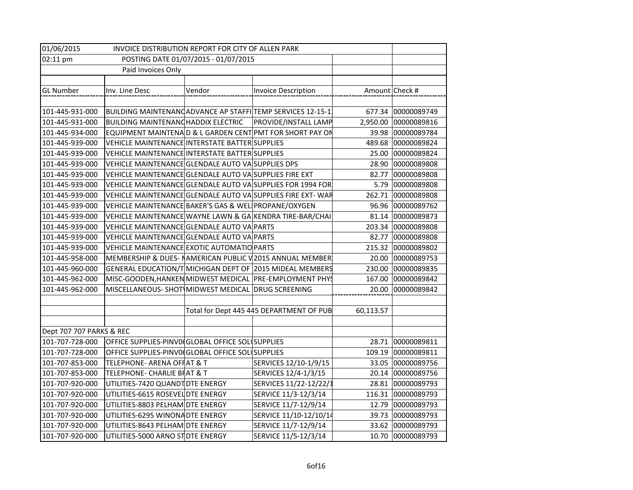| 01/06/2015<br>INVOICE DISTRIBUTION REPORT FOR CITY OF ALLEN PARK |                                                        |        |                                                            |           |                      |
|------------------------------------------------------------------|--------------------------------------------------------|--------|------------------------------------------------------------|-----------|----------------------|
| POSTING DATE 01/07/2015 - 01/07/2015<br>02:11 pm                 |                                                        |        |                                                            |           |                      |
|                                                                  | Paid Invoices Only                                     |        |                                                            |           |                      |
|                                                                  |                                                        |        |                                                            |           |                      |
| <b>GL Number</b>                                                 | Inv. Line Desc                                         | Vendor | Invoice Description                                        |           | Amount Check #       |
|                                                                  |                                                        |        |                                                            |           |                      |
| 101-445-931-000                                                  |                                                        |        | BUILDING MAINTENANCADVANCE AP STAFFITEMP SERVICES 12-15-1  |           | 677.34 00000089749   |
| 101-445-931-000                                                  | BUILDING MAINTENANCHADDIX ELECTRIC                     |        | <b>PROVIDE/INSTALL LAMP</b>                                |           | 2,950.00 00000089816 |
| 101-445-934-000                                                  |                                                        |        | EQUIPMENT MAINTENAD & L GARDEN CENT PMT FOR SHORT PAY ON   |           | 39.98 00000089784    |
| 101-445-939-000                                                  | VEHICLE MAINTENANCE INTERSTATE BATTER SUPPLIES         |        |                                                            |           | 489.68 00000089824   |
| 101-445-939-000                                                  | VEHICLE MAINTENANCE INTERSTATE BATTER SUPPLIES         |        |                                                            |           | 25.00 00000089824    |
| 101-445-939-000                                                  | VEHICLE MAINTENANCE GLENDALE AUTO VA SUPPLIES DPS      |        |                                                            |           | 28.90 00000089808    |
| 101-445-939-000                                                  | VEHICLE MAINTENANCE GLENDALE AUTO VA SUPPLIES FIRE EXT |        |                                                            | 82.77     | 00000089808          |
| 101-445-939-000                                                  |                                                        |        | VEHICLE MAINTENANCE GLENDALE AUTO VA SUPPLIES FOR 1994 FOR | 5.79      | 00000089808          |
| 101-445-939-000                                                  |                                                        |        | VEHICLE MAINTENANCE GLENDALE AUTO VA SUPPLIES FIRE EXT-WAR | 262.71    | 00000089808          |
| 101-445-939-000                                                  | VEHICLE MAINTENANCE BAKER'S GAS & WELL PROPANE/OXYGEN  |        |                                                            | 96.96     | 00000089762          |
| 101-445-939-000                                                  |                                                        |        | VEHICLE MAINTENANCE WAYNE LAWN & GA KENDRA TIRE-BAR/CHAI   |           | 81.14 00000089873    |
| 101-445-939-000                                                  | VEHICLE MAINTENANCE GLENDALE AUTO VA PARTS             |        |                                                            | 203.34    | 00000089808          |
| 101-445-939-000                                                  | VEHICLE MAINTENANCE GLENDALE AUTO VA PARTS             |        |                                                            | 82.77     | 00000089808          |
| 101-445-939-000                                                  | VEHICLE MAINTENANCE EXOTIC AUTOMATIO PARTS             |        |                                                            |           | 215.32 00000089802   |
| 101-445-958-000                                                  |                                                        |        | MEMBERSHIP & DUES- NAMERICAN PUBLIC V2015 ANNUAL MEMBER    |           | 20.00 00000089753    |
| 101-445-960-000                                                  |                                                        |        | GENERAL EDUCATION/T MICHIGAN DEPT OF 2015 MIDEAL MEMBERS   | 230.00    | 00000089835          |
| 101-445-962-000                                                  |                                                        |        | MISC-GOODEN, HANKEN MIDWEST MEDICAL PRE-EMPLOYMENT PHYS    | 167.00    | 00000089842          |
| 101-445-962-000                                                  | MISCELLANEOUS-SHOT MIDWEST MEDICAL DRUG SCREENING      |        |                                                            | 20.00     | 00000089842          |
|                                                                  |                                                        |        |                                                            |           |                      |
|                                                                  |                                                        |        | Total for Dept 445 445 DEPARTMENT OF PUB                   | 60,113.57 |                      |
|                                                                  |                                                        |        |                                                            |           |                      |
| Dept 707 707 PARKS & REC                                         |                                                        |        |                                                            |           |                      |
| 101-707-728-000                                                  | OFFICE SUPPLIES-PINVO(GLOBAL OFFICE SOL SUPPLIES       |        |                                                            | 28.71     | 00000089811          |
| 101-707-728-000                                                  | OFFICE SUPPLIES-PINVO(GLOBAL OFFICE SOL SUPPLIES       |        |                                                            | 109.19    | 00000089811          |
| 101-707-853-000                                                  | <b>TELEPHONE- ARENA OFFAT &amp; T</b>                  |        | SERVICES 12/10-1/9/15                                      |           | 33.05 00000089756    |
| 101-707-853-000                                                  | TELEPHONE- CHARLIE BIAT & T                            |        | SERVICES 12/4-1/3/15                                       |           | 20.14 00000089756    |
| 101-707-920-000                                                  | UTILITIES-7420 QUANDT DTE ENERGY                       |        | SERVICES 11/22-12/22/1                                     | 28.81     | 00000089793          |
| 101-707-920-000                                                  | UTILITIES-6615 ROSEVEL DTE ENERGY                      |        | SERVICE 11/3-12/3/14                                       | 116.31    | 00000089793          |
| 101-707-920-000                                                  | UTILITIES-8803 PELHAM DTE ENERGY                       |        | SERVICE 11/7-12/9/14                                       |           | 12.79 00000089793    |
| 101-707-920-000                                                  | UTILITIES-6295 WINONADTE ENERGY                        |        | SERVICE 11/10-12/10/14                                     |           | 39.73 00000089793    |
| 101-707-920-000                                                  | UTILITIES-8643 PELHAM DTE ENERGY                       |        | SERVICE 11/7-12/9/14                                       |           | 33.62 00000089793    |
| 101-707-920-000                                                  | UTILITIES-5000 ARNO STOTE ENERGY                       |        | SERVICE 11/5-12/3/14                                       |           | 10.70 00000089793    |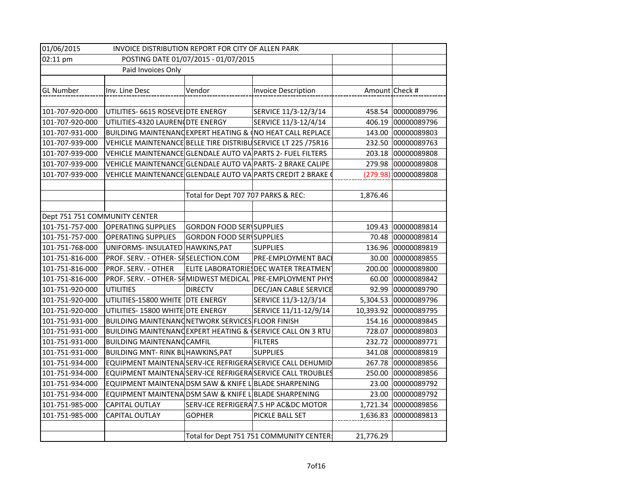| 01/06/2015<br>INVOICE DISTRIBUTION REPORT FOR CITY OF ALLEN PARK |                                                               |                                     |                                                             |           |                      |
|------------------------------------------------------------------|---------------------------------------------------------------|-------------------------------------|-------------------------------------------------------------|-----------|----------------------|
| POSTING DATE 01/07/2015 - 01/07/2015<br>02:11 pm                 |                                                               |                                     |                                                             |           |                      |
|                                                                  | Paid Invoices Only                                            |                                     |                                                             |           |                      |
|                                                                  |                                                               |                                     |                                                             |           |                      |
| <b>GL Number</b>                                                 | Inv. Line Desc                                                | Vendor                              | Invoice Description                                         |           | Amount Check #       |
|                                                                  |                                                               |                                     |                                                             |           |                      |
| 101-707-920-000                                                  | UTILITIES- 6615 ROSEVE DTE ENERGY                             |                                     | SERVICE 11/3-12/3/14                                        |           | 458.54 00000089796   |
| 101-707-920-000                                                  | UTILITIES-4320 LAUREN OTE ENERGY                              |                                     | SERVICE 11/3-12/4/14                                        |           | 406.19 00000089796   |
| 101-707-931-000                                                  |                                                               |                                     | BUILDING MAINTENANCEXPERT HEATING & (NO HEAT CALL REPLACE   |           | 143.00 00000089803   |
| 101-707-939-000                                                  | VEHICLE MAINTENANCE BELLE TIRE DISTRIBUSERVICE LT 225 / 75R16 |                                     |                                                             | 232.50    | 00000089763          |
| 101-707-939-000                                                  | VEHICLE MAINTENANCE GLENDALE AUTO VA PARTS 2- FUEL FILTERS    |                                     |                                                             | 203.18    | 00000089808          |
| 101-707-939-000                                                  |                                                               |                                     | VEHICLE MAINTENANCE GLENDALE AUTO VA PARTS- 2 BRAKE CALIPE  | 279.98    | 00000089808          |
| 101-707-939-000                                                  |                                                               |                                     | VEHICLE MAINTENANCE GLENDALE AUTO VA PARTS CREDIT 2 BRAKE   |           | (279.98) 00000089808 |
|                                                                  |                                                               |                                     |                                                             |           |                      |
|                                                                  |                                                               | Total for Dept 707 707 PARKS & REC: |                                                             | 1,876.46  |                      |
|                                                                  |                                                               |                                     |                                                             |           |                      |
| Dept 751 751 COMMUNITY CENTER                                    |                                                               |                                     |                                                             |           |                      |
| 101-751-757-000                                                  | <b>OPERATING SUPPLIES</b>                                     | <b>GORDON FOOD SER SUPPLIES</b>     |                                                             | 109.43    | 00000089814          |
| 101-751-757-000                                                  | <b>OPERATING SUPPLIES</b>                                     | <b>GORDON FOOD SER\SUPPLIES</b>     |                                                             | 70.48     | 00000089814          |
| 101-751-768-000                                                  | UNIFORMS- INSULATED HAWKINS, PAT                              |                                     | <b>SUPPLIES</b>                                             | 136.96    | 00000089819          |
| 101-751-816-000                                                  | PROF. SERV. - OTHER- SFSELECTION.COM                          |                                     | <b>PRE-EMPLOYMENT BACK</b>                                  | 30.00     | 00000089855          |
| 101-751-816-000                                                  | PROF. SERV. - OTHER                                           |                                     | ELITE LABORATORIES DEC WATER TREATMENT                      | 200.00    | 00000089800          |
| 101-751-816-000                                                  |                                                               |                                     | PROF. SERV. - OTHER- SFMIDWEST MEDICAL PRE-EMPLOYMENT PHYS  | 60.00     | 00000089842          |
| 101-751-920-000                                                  | <b>UTILITIES</b>                                              | <b>DIRECTV</b>                      | DEC/JAN CABLE SERVICE                                       | 92.99     | 00000089790          |
| 101-751-920-000                                                  | UTILITIES-15800 WHITE DTE ENERGY                              |                                     | SERVICE 11/3-12/3/14                                        | 5,304.53  | 00000089796          |
| 101-751-920-000                                                  | UTILITIES- 15800 WHITE DTE ENERGY                             |                                     | SERVICE 11/11-12/9/14                                       | 10,393.92 | 00000089795          |
| 101-751-931-000                                                  | BUILDING MAINTENANCNETWORK SERVICES FLOOR FINISH              |                                     |                                                             | 154.16    | 00000089845          |
| 101-751-931-000                                                  |                                                               |                                     | BUILDING MAINTENANCEXPERT HEATING & (SERVICE CALL ON 3 RTU  | 728.07    | 00000089803          |
| 101-751-931-000                                                  | <b>BUILDING MAINTENANCCAMFIL</b>                              |                                     | <b>FILTERS</b>                                              | 232.72    | 00000089771          |
| 101-751-931-000                                                  | BUILDING MNT- RINK BL HAWKINS, PAT                            |                                     | <b>SUPPLIES</b>                                             | 341.08    | 00000089819          |
| 101-751-934-000                                                  |                                                               |                                     | EQUIPMENT MAINTENA SERV-ICE REFRIGERA SERVICE CALL DEHUMID  | 267.78    | 00000089856          |
| 101-751-934-000                                                  |                                                               |                                     | EQUIPMENT MAINTENA SERV-ICE REFRIGERA SERVICE CALL TROUBLES | 250.00    | 00000089856          |
| 101-751-934-000                                                  | EQUIPMENT MAINTENA DSM SAW & KNIFE L BLADE SHARPENING         |                                     |                                                             |           | 23.00 00000089792    |
| 101-751-934-000                                                  | EQUIPMENT MAINTENA DSM SAW & KNIFE L BLADE SHARPENING         |                                     |                                                             |           | 23.00 00000089792    |
| 101-751-985-000                                                  | <b>CAPITAL OUTLAY</b>                                         |                                     | SERV-ICE REFRIGERA 7.5 HP AC&DC MOTOR                       |           | 1,721.34 00000089856 |
| 101-751-985-000                                                  | <b>CAPITAL OUTLAY</b>                                         | <b>GOPHER</b>                       | PICKLE BALL SET                                             | 1,636.83  | 00000089813          |
|                                                                  |                                                               |                                     |                                                             |           |                      |
|                                                                  |                                                               |                                     | Total for Dept 751 751 COMMUNITY CENTER:                    | 21,776.29 |                      |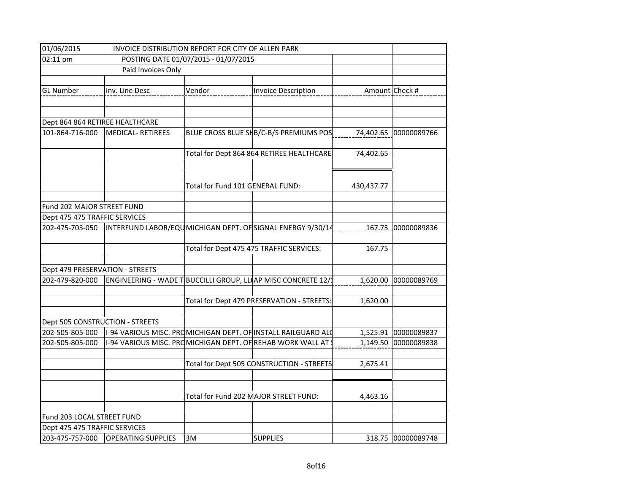| 01/06/2015<br>INVOICE DISTRIBUTION REPORT FOR CITY OF ALLEN PARK |                                                              |                                  |                                                               |                |                    |
|------------------------------------------------------------------|--------------------------------------------------------------|----------------------------------|---------------------------------------------------------------|----------------|--------------------|
| 02:11 pm<br>POSTING DATE 01/07/2015 - 01/07/2015                 |                                                              |                                  |                                                               |                |                    |
| Paid Invoices Only                                               |                                                              |                                  |                                                               |                |                    |
|                                                                  |                                                              |                                  |                                                               |                |                    |
| <b>GL Number</b>                                                 | Inv. Line Desc                                               | Vendor                           | <b>Invoice Description</b>                                    | Amount Check # |                    |
|                                                                  |                                                              |                                  |                                                               |                |                    |
|                                                                  |                                                              |                                  |                                                               |                |                    |
| Dept 864 864 RETIREE HEALTHCARE                                  |                                                              |                                  |                                                               |                |                    |
| 101-864-716-000                                                  | MEDICAL-RETIREES                                             |                                  | BLUE CROSS BLUE SHB/C-B/S PREMIUMS POS                        | 74,402.65      | 00000089766        |
|                                                                  |                                                              |                                  |                                                               |                |                    |
|                                                                  |                                                              |                                  | Total for Dept 864 864 RETIREE HEALTHCARE                     | 74,402.65      |                    |
|                                                                  |                                                              |                                  |                                                               |                |                    |
|                                                                  |                                                              |                                  |                                                               |                |                    |
|                                                                  |                                                              | Total for Fund 101 GENERAL FUND: |                                                               | 430,437.77     |                    |
| Fund 202 MAJOR STREET FUND                                       |                                                              |                                  |                                                               |                |                    |
| Dept 475 475 TRAFFIC SERVICES                                    |                                                              |                                  |                                                               |                |                    |
| 202-475-703-050                                                  |                                                              |                                  | INTERFUND LABOR/EQUMICHIGAN DEPT. OF SIGNAL ENERGY 9/30/14    | 167.75         | 00000089836        |
|                                                                  |                                                              |                                  |                                                               |                |                    |
|                                                                  |                                                              |                                  | Total for Dept 475 475 TRAFFIC SERVICES:                      | 167.75         |                    |
|                                                                  |                                                              |                                  |                                                               |                |                    |
| Dept 479 PRESERVATION - STREETS                                  |                                                              |                                  |                                                               |                |                    |
| 202-479-820-000                                                  | ENGINEERING - WADE T BUCCILLI GROUP, LL AP MISC CONCRETE 12/ |                                  |                                                               | 1,620.00       | 00000089769        |
|                                                                  |                                                              |                                  |                                                               |                |                    |
|                                                                  |                                                              |                                  | Total for Dept 479 PRESERVATION - STREETS:                    | 1,620.00       |                    |
|                                                                  |                                                              |                                  |                                                               |                |                    |
| Dept 505 CONSTRUCTION - STREETS                                  |                                                              |                                  |                                                               |                |                    |
| 202-505-805-000                                                  |                                                              |                                  | 1-94 VARIOUS MISC. PROMICHIGAN DEPT. OF INSTALL RAILGUARD ALO | 1,525.91       | 00000089837        |
| 202-505-805-000                                                  | 1-94 VARIOUS MISC. PROMICHIGAN DEPT. OF REHAB WORK WALL AT   |                                  |                                                               | 1,149.50       | 00000089838        |
|                                                                  |                                                              |                                  |                                                               |                |                    |
|                                                                  |                                                              |                                  | Total for Dept 505 CONSTRUCTION - STREETS                     | 2,675.41       |                    |
|                                                                  |                                                              |                                  |                                                               |                |                    |
|                                                                  |                                                              |                                  |                                                               |                |                    |
|                                                                  |                                                              |                                  | Total for Fund 202 MAJOR STREET FUND:                         | 4,463.16       |                    |
|                                                                  |                                                              |                                  |                                                               |                |                    |
| Fund 203 LOCAL STREET FUND                                       |                                                              |                                  |                                                               |                |                    |
| Dept 475 475 TRAFFIC SERVICES                                    |                                                              |                                  |                                                               |                |                    |
|                                                                  | 203-475-757-000 OPERATING SUPPLIES                           | 3M                               | <b>SUPPLIES</b>                                               |                | 318.75 00000089748 |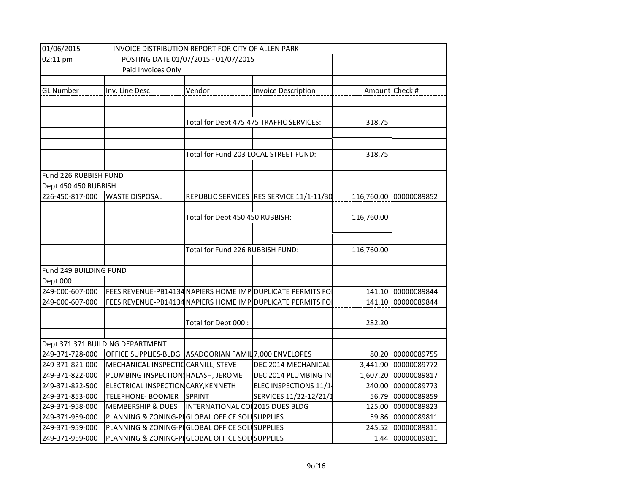| 01/06/2015<br>INVOICE DISTRIBUTION REPORT FOR CITY OF ALLEN PARK |                                                |                                       |                                                             |            |                |
|------------------------------------------------------------------|------------------------------------------------|---------------------------------------|-------------------------------------------------------------|------------|----------------|
| 02:11 pm<br>POSTING DATE 01/07/2015 - 01/07/2015                 |                                                |                                       |                                                             |            |                |
|                                                                  | Paid Invoices Only                             |                                       |                                                             |            |                |
|                                                                  |                                                |                                       |                                                             |            |                |
| <b>GL Number</b>                                                 | Inv. Line Desc                                 | Vendor                                | <b>Invoice Description</b>                                  |            | Amount Check # |
|                                                                  |                                                |                                       |                                                             |            |                |
|                                                                  |                                                |                                       |                                                             |            |                |
|                                                                  |                                                |                                       | Total for Dept 475 475 TRAFFIC SERVICES:                    | 318.75     |                |
|                                                                  |                                                |                                       |                                                             |            |                |
|                                                                  |                                                |                                       |                                                             |            |                |
|                                                                  |                                                | Total for Fund 203 LOCAL STREET FUND: |                                                             | 318.75     |                |
| Fund 226 RUBBISH FUND                                            |                                                |                                       |                                                             |            |                |
| Dept 450 450 RUBBISH                                             |                                                |                                       |                                                             |            |                |
| 226-450-817-000                                                  | <b>WASTE DISPOSAL</b>                          |                                       | REPUBLIC SERVICES RES SERVICE 11/1-11/30                    | 116,760.00 | 00000089852    |
|                                                                  |                                                |                                       |                                                             |            |                |
|                                                                  |                                                | Total for Dept 450 450 RUBBISH:       |                                                             | 116,760.00 |                |
|                                                                  |                                                |                                       |                                                             |            |                |
|                                                                  |                                                |                                       |                                                             |            |                |
|                                                                  |                                                | Total for Fund 226 RUBBISH FUND:      |                                                             | 116,760.00 |                |
|                                                                  |                                                |                                       |                                                             |            |                |
| Fund 249 BUILDING FUND                                           |                                                |                                       |                                                             |            |                |
| Dept 000                                                         |                                                |                                       |                                                             |            |                |
| 249-000-607-000                                                  |                                                |                                       | FEES REVENUE-PB14134 NAPIERS HOME IMP DUPLICATE PERMITS FOI | 141.10     | 00000089844    |
| 249-000-607-000                                                  |                                                |                                       | FEES REVENUE-PB14134 NAPIERS HOME IMP DUPLICATE PERMITS FO  | 141.10     | 00000089844    |
|                                                                  |                                                |                                       |                                                             |            |                |
|                                                                  |                                                | Total for Dept 000:                   |                                                             | 282.20     |                |
|                                                                  |                                                |                                       |                                                             |            |                |
|                                                                  | Dept 371 371 BUILDING DEPARTMENT               |                                       |                                                             |            |                |
| 249-371-728-000                                                  | OFFICE SUPPLIES-BLDG                           | ASADOORIAN FAMIL 7,000 ENVELOPES      |                                                             | 80.20      | 00000089755    |
| 249-371-821-000                                                  | MECHANICAL INSPECTIC CARNILL, STEVE            |                                       | DEC 2014 MECHANICAL                                         | 3,441.90   | 00000089772    |
| 249-371-822-000                                                  | PLUMBING INSPECTION HALASH, JEROME             |                                       | DEC 2014 PLUMBING IN                                        | 1,607.20   | 00000089817    |
| 249-371-822-500                                                  | ELECTRICAL INSPECTION CARY, KENNETH            |                                       | ELEC INSPECTIONS 11/14                                      | 240.00     | 00000089773    |
| 249-371-853-000                                                  | TELEPHONE- BOOMER                              | SPRINT                                | SERVICES 11/22-12/21/1                                      | 56.79      | 00000089859    |
| 249-371-958-000                                                  | <b>MEMBERSHIP &amp; DUES</b>                   | INTERNATIONAL CO 2015 DUES BLDG       |                                                             | 125.00     | 00000089823    |
| 249-371-959-000                                                  | PLANNING & ZONING-PIGLOBAL OFFICE SOLISUPPLIES |                                       |                                                             | 59.86      | 00000089811    |
| 249-371-959-000                                                  | PLANNING & ZONING-PIGLOBAL OFFICE SOLUSUPPLIES |                                       |                                                             | 245.52     | 00000089811    |
| 249-371-959-000                                                  | PLANNING & ZONING-PIGLOBAL OFFICE SOLISUPPLIES |                                       |                                                             | 1.44       | 00000089811    |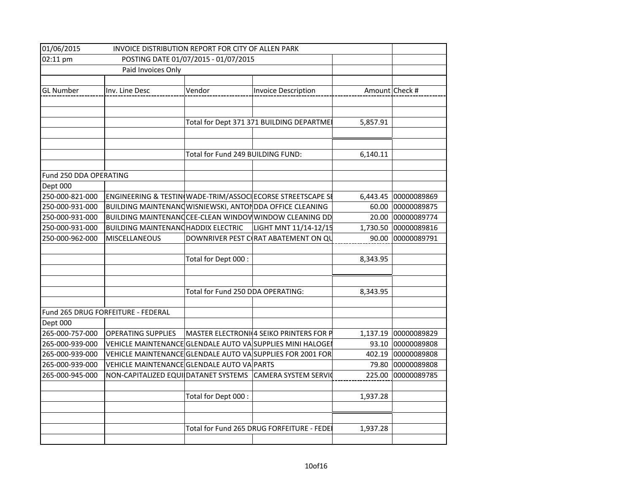| 01/06/2015             | INVOICE DISTRIBUTION REPORT FOR CITY OF ALLEN PARK        |                                      |                                                             |          |                |
|------------------------|-----------------------------------------------------------|--------------------------------------|-------------------------------------------------------------|----------|----------------|
| 02:11 pm               |                                                           | POSTING DATE 01/07/2015 - 01/07/2015 |                                                             |          |                |
|                        | Paid Invoices Only                                        |                                      |                                                             |          |                |
| <b>GL Number</b>       | Inv. Line Desc                                            | Vendor                               | <b>Invoice Description</b>                                  |          | Amount Check # |
|                        |                                                           |                                      | Total for Dept 371 371 BUILDING DEPARTMEI                   | 5,857.91 |                |
|                        |                                                           | Total for Fund 249 BUILDING FUND:    |                                                             | 6,140.11 |                |
| Fund 250 DDA OPERATING |                                                           |                                      |                                                             |          |                |
| Dept 000               |                                                           |                                      |                                                             |          |                |
| 250-000-821-000        |                                                           |                                      | ENGINEERING & TESTIN(WADE-TRIM/ASSOCI ECORSE STREETSCAPE SE | 6,443.45 | 00000089869    |
| 250-000-931-000        | BUILDING MAINTENANG WISNIEWSKI, ANTON DDA OFFICE CLEANING |                                      |                                                             | 60.00    | 00000089875    |
| 250-000-931-000        |                                                           |                                      | BUILDING MAINTENANCCEE-CLEAN WINDOW WINDOW CLEANING DD      | 20.00    | 00000089774    |
| 250-000-931-000        | <b>BUILDING MAINTENANCHADDIX ELECTRIC</b>                 |                                      | LIGHT MNT 11/14-12/15                                       | 1,730.50 | 00000089816    |
| 250-000-962-000        | MISCELLANEOUS                                             |                                      | DOWNRIVER PEST C(RAT ABATEMENT ON QU                        | 90.00    | 00000089791    |
|                        |                                                           | Total for Dept 000:                  |                                                             | 8,343.95 |                |
|                        |                                                           | Total for Fund 250 DDA OPERATING:    |                                                             | 8,343.95 |                |
|                        | Fund 265 DRUG FORFEITURE - FEDERAL                        |                                      |                                                             |          |                |
| Dept 000               |                                                           |                                      |                                                             |          |                |
| 265-000-757-000        | <b>OPERATING SUPPLIES</b>                                 |                                      | MASTER ELECTRONI(4 SEIKO PRINTERS FOR P                     | 1,137.19 | 00000089829    |
| 265-000-939-000        |                                                           |                                      | VEHICLE MAINTENANCE GLENDALE AUTO VA SUPPLIES MINI HALOGE   | 93.10    | 00000089808    |
| 265-000-939-000        |                                                           |                                      | VEHICLE MAINTENANCE GLENDALE AUTO VA SUPPLIES FOR 2001 FOR  | 402.19   | 00000089808    |
| 265-000-939-000        | VEHICLE MAINTENANCE GLENDALE AUTO VA PARTS                |                                      |                                                             | 79.80    | 00000089808    |
| 265-000-945-000        |                                                           |                                      | NON-CAPITALIZED EQUI DATANET SYSTEMS CAMERA SYSTEM SERVIC   | 225.00   | 00000089785    |
|                        |                                                           | Total for Dept 000 :                 |                                                             | 1,937.28 |                |
|                        |                                                           |                                      |                                                             |          |                |
|                        |                                                           |                                      | Total for Fund 265 DRUG FORFEITURE - FEDEI                  | 1,937.28 |                |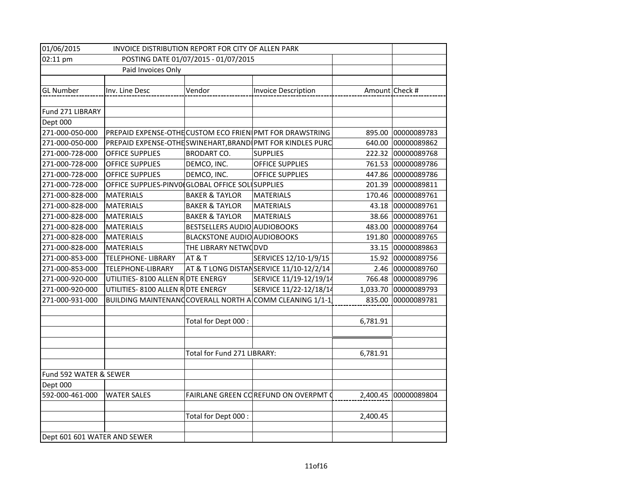| 01/06/2015<br>INVOICE DISTRIBUTION REPORT FOR CITY OF ALLEN PARK |                                                  |                                    |                                                            |                |                    |  |
|------------------------------------------------------------------|--------------------------------------------------|------------------------------------|------------------------------------------------------------|----------------|--------------------|--|
| 02:11 pm                                                         | POSTING DATE 01/07/2015 - 01/07/2015             |                                    |                                                            |                |                    |  |
|                                                                  | Paid Invoices Only                               |                                    |                                                            |                |                    |  |
|                                                                  |                                                  |                                    |                                                            |                |                    |  |
| <b>GL Number</b>                                                 | Inv. Line Desc                                   | Vendor                             | <b>Invoice Description</b>                                 | Amount Check # |                    |  |
|                                                                  |                                                  |                                    |                                                            |                |                    |  |
| Fund 271 LIBRARY                                                 |                                                  |                                    |                                                            |                |                    |  |
| Dept 000                                                         |                                                  |                                    |                                                            |                |                    |  |
| 271-000-050-000                                                  |                                                  |                                    | PREPAID EXPENSE-OTHE CUSTOM ECO FRIEN PMT FOR DRAWSTRING   | 895.00         | 00000089783        |  |
| 271-000-050-000                                                  |                                                  |                                    | PREPAID EXPENSE-OTHE SWINEHART, BRAND PMT FOR KINDLES PURC | 640.00         | 00000089862        |  |
| 271-000-728-000                                                  | <b>OFFICE SUPPLIES</b>                           | <b>BRODART CO.</b>                 | <b>SUPPLIES</b>                                            |                | 222.32 00000089768 |  |
| 271-000-728-000                                                  | <b>OFFICE SUPPLIES</b>                           | DEMCO, INC.                        | <b>OFFICE SUPPLIES</b>                                     | 761.53         | 00000089786        |  |
| 271-000-728-000                                                  | <b>OFFICE SUPPLIES</b>                           | DEMCO, INC.                        | <b>OFFICE SUPPLIES</b>                                     | 447.86         | 00000089786        |  |
| 271-000-728-000                                                  | OFFICE SUPPLIES-PINVO(GLOBAL OFFICE SOL SUPPLIES |                                    |                                                            | 201.39         | 00000089811        |  |
| 271-000-828-000                                                  | <b>MATERIALS</b>                                 | <b>BAKER &amp; TAYLOR</b>          | <b>MATERIALS</b>                                           | 170.46         | 00000089761        |  |
| 271-000-828-000                                                  | <b>MATERIALS</b>                                 | <b>BAKER &amp; TAYLOR</b>          | <b>MATERIALS</b>                                           | 43.18          | 00000089761        |  |
| 271-000-828-000                                                  | <b>MATERIALS</b>                                 | <b>BAKER &amp; TAYLOR</b>          | <b>MATERIALS</b>                                           | 38.66          | 00000089761        |  |
| 271-000-828-000                                                  | <b>MATERIALS</b>                                 | BESTSELLERS AUDIO AUDIOBOOKS       |                                                            | 483.00         | 00000089764        |  |
| 271-000-828-000                                                  | <b>MATERIALS</b>                                 | <b>BLACKSTONE AUDIO AUDIOBOOKS</b> |                                                            | 191.80         | 00000089765        |  |
| 271-000-828-000                                                  | <b>MATERIALS</b>                                 | THE LIBRARY NETWODVD               |                                                            | 33.15          | 00000089863        |  |
| 271-000-853-000                                                  | <b>TELEPHONE- LIBRARY</b>                        | AT & T                             | SERVICES 12/10-1/9/15                                      | 15.92          | 00000089756        |  |
| 271-000-853-000                                                  | TELEPHONE-LIBRARY                                |                                    | AT & T LONG DISTANSERVICE 11/10-12/2/14                    | 2.46           | 00000089760        |  |
| 271-000-920-000                                                  | UTILITIES-8100 ALLEN R DTE ENERGY                |                                    | SERVICE 11/19-12/19/14                                     | 766.48         | 00000089796        |  |
| 271-000-920-000                                                  | UTILITIES-8100 ALLEN R DTE ENERGY                |                                    | SERVICE 11/22-12/18/14                                     | 1,033.70       | 00000089793        |  |
| 271-000-931-000                                                  |                                                  |                                    | BUILDING MAINTENANCCOVERALL NORTH ACOMM CLEANING 1/1-1     | 835.00         | 00000089781        |  |
|                                                                  |                                                  |                                    |                                                            |                |                    |  |
|                                                                  |                                                  | Total for Dept 000 :               |                                                            | 6,781.91       |                    |  |
|                                                                  |                                                  |                                    |                                                            |                |                    |  |
|                                                                  |                                                  |                                    |                                                            |                |                    |  |
|                                                                  |                                                  | Total for Fund 271 LIBRARY:        |                                                            | 6,781.91       |                    |  |
|                                                                  |                                                  |                                    |                                                            |                |                    |  |
| Fund 592 WATER & SEWER                                           |                                                  |                                    |                                                            |                |                    |  |
| Dept 000                                                         |                                                  |                                    |                                                            |                |                    |  |
| 592-000-461-000                                                  | <b>WATER SALES</b>                               |                                    | FAIRLANE GREEN COREFUND ON OVERPMT O                       | 2,400.45       | 00000089804        |  |
|                                                                  |                                                  |                                    |                                                            |                |                    |  |
|                                                                  |                                                  | Total for Dept 000 :               |                                                            | 2,400.45       |                    |  |
|                                                                  |                                                  |                                    |                                                            |                |                    |  |
| Dept 601 601 WATER AND SEWER                                     |                                                  |                                    |                                                            |                |                    |  |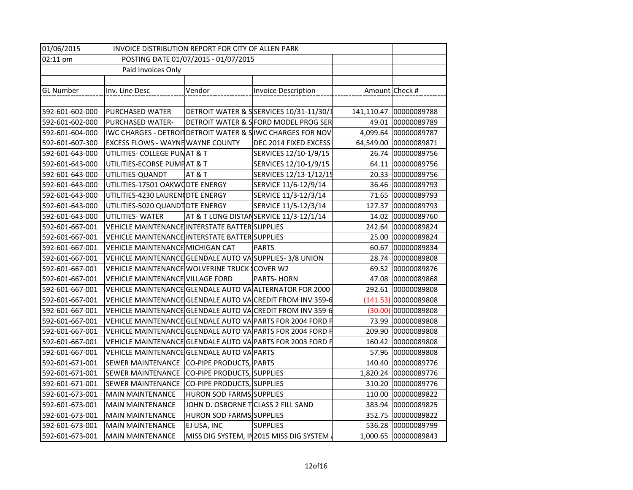| 01/06/2015<br>INVOICE DISTRIBUTION REPORT FOR CITY OF ALLEN PARK |                                                            |                                    |                                                            |          |                        |
|------------------------------------------------------------------|------------------------------------------------------------|------------------------------------|------------------------------------------------------------|----------|------------------------|
| 02:11 pm<br>POSTING DATE 01/07/2015 - 01/07/2015                 |                                                            |                                    |                                                            |          |                        |
|                                                                  | Paid Invoices Only                                         |                                    |                                                            |          |                        |
|                                                                  |                                                            |                                    |                                                            |          |                        |
| GL Number                                                        | Inv. Line Desc                                             | Vendor                             | <b>Invoice Description</b>                                 |          | Amount Check #         |
|                                                                  |                                                            |                                    |                                                            |          |                        |
| 592-601-602-000                                                  | PURCHASED WATER                                            |                                    | DETROIT WATER & SSERVICES 10/31-11/30/1                    |          | 141,110.47 00000089788 |
| 592-601-602-000                                                  | PURCHASED WATER-                                           |                                    | DETROIT WATER & S FORD MODEL PROG SER                      |          | 49.01 00000089789      |
| 592-601-604-000                                                  | IWC CHARGES - DETROIT DETROIT WATER & SIWC CHARGES FOR NOV |                                    |                                                            |          | 4,099.64 00000089787   |
| 592-601-607-300                                                  | <b>EXCESS FLOWS - WAYNE WAYNE COUNTY</b>                   |                                    | DEC 2014 FIXED EXCESS                                      |          | 64,549.00 00000089871  |
| 592-601-643-000                                                  | UTILITIES- COLLEGE PUNAT & T                               |                                    | SERVICES 12/10-1/9/15                                      |          | 26.74 00000089756      |
| 592-601-643-000                                                  | UTILITIES-ECORSE PUMPAT & T                                |                                    | SERVICES 12/10-1/9/15                                      | 64.11    | 00000089756            |
| 592-601-643-000                                                  | UTILITIES-QUANDT                                           | AT & T                             | SERVICES 12/13-1/12/15                                     | 20.33    | 00000089756            |
| 592-601-643-000                                                  | UTILITIES-17501 OAKWODTE ENERGY                            |                                    | SERVICE 11/6-12/9/14                                       | 36.46    | 00000089793            |
| 592-601-643-000                                                  | UTILITIES-4230 LAUREN (DTE ENERGY                          |                                    | SERVICE 11/3-12/3/14                                       | 71.65    | 00000089793            |
| 592-601-643-000                                                  | UTILITIES-5020 QUANDT DTE ENERGY                           |                                    | SERVICE 11/5-12/3/14                                       | 127.37   | 00000089793            |
| 592-601-643-000                                                  | UTILITIES-WATER                                            |                                    | AT & T LONG DISTANSERVICE 11/3-12/1/14                     | 14.02    | 00000089760            |
| 592-601-667-001                                                  | VEHICLE MAINTENANCE INTERSTATE BATTER SUPPLIES             |                                    |                                                            | 242.64   | 00000089824            |
| 592-601-667-001                                                  | VEHICLE MAINTENANCE INTERSTATE BATTER SUPPLIES             |                                    |                                                            | 25.00    | 00000089824            |
| 592-601-667-001                                                  | VEHICLE MAINTENANCE MICHIGAN CAT                           |                                    | <b>PARTS</b>                                               | 60.67    | 00000089834            |
| 592-601-667-001                                                  | VEHICLE MAINTENANCE GLENDALE AUTO VA SUPPLIES-3/8 UNION    |                                    |                                                            | 28.74    | 00000089808            |
| 592-601-667-001                                                  | VEHICLE MAINTENANCE WOLVERINE TRUCK (COVER W2              |                                    |                                                            | 69.52    | 00000089876            |
| 592-601-667-001                                                  | VEHICLE MAINTENANCE VILLAGE FORD                           |                                    | PARTS-HORN                                                 | 47.08    | 00000089868            |
| 592-601-667-001                                                  | VEHICLE MAINTENANCE GLENDALE AUTO VA ALTERNATOR FOR 2000   |                                    |                                                            | 292.61   | 00000089808            |
| 592-601-667-001                                                  |                                                            |                                    | VEHICLE MAINTENANCE GLENDALE AUTO VA CREDIT FROM INV 359-6 |          | $(141.53)$ 00000089808 |
| 592-601-667-001                                                  |                                                            |                                    | VEHICLE MAINTENANCE GLENDALE AUTO VACREDIT FROM INV 359-6  | (30.00)  | 00000089808            |
| 592-601-667-001                                                  |                                                            |                                    | VEHICLE MAINTENANCE GLENDALE AUTO VA PARTS FOR 2004 FORD F | 73.99    | 00000089808            |
| 592-601-667-001                                                  |                                                            |                                    | VEHICLE MAINTENANCE GLENDALE AUTO VA PARTS FOR 2004 FORD F | 209.90   | 00000089808            |
| 592-601-667-001                                                  |                                                            |                                    | VEHICLE MAINTENANCE GLENDALE AUTO VA PARTS FOR 2003 FORD F | 160.42   | 00000089808            |
| 592-601-667-001                                                  | VEHICLE MAINTENANCE GLENDALE AUTO VA PARTS                 |                                    |                                                            |          | 57.96 00000089808      |
| 592-601-671-001                                                  | SEWER MAINTENANCE CO-PIPE PRODUCTS, PARTS                  |                                    |                                                            |          | 140.40 00000089776     |
| 592-601-671-001                                                  | <b>SEWER MAINTENANCE</b>                                   | CO-PIPE PRODUCTS, SUPPLIES         |                                                            | 1,820.24 | 00000089776            |
| 592-601-671-001                                                  | SEWER MAINTENANCE                                          | CO-PIPE PRODUCTS, SUPPLIES         |                                                            |          | 310.20 00000089776     |
| 592-601-673-001                                                  | <b>MAIN MAINTENANCE</b>                                    | HURON SOD FARMS SUPPLIES           |                                                            |          | 110.00 00000089822     |
| 592-601-673-001                                                  | <b>MAIN MAINTENANCE</b>                                    | JOHN D. OSBORNE TCLASS 2 FILL SAND |                                                            | 383.94   | 00000089825            |
| 592-601-673-001                                                  | <b>MAIN MAINTENANCE</b>                                    | HURON SOD FARMS SUPPLIES           |                                                            |          | 352.75 00000089822     |
| 592-601-673-001                                                  | <b>MAIN MAINTENANCE</b>                                    | EJ USA, INC                        | <b>SUPPLIES</b>                                            |          | 536.28 00000089799     |
| 592-601-673-001                                                  | <b>MAIN MAINTENANCE</b>                                    |                                    | MISS DIG SYSTEM, IN2015 MISS DIG SYSTEM.                   |          | 1,000.65 00000089843   |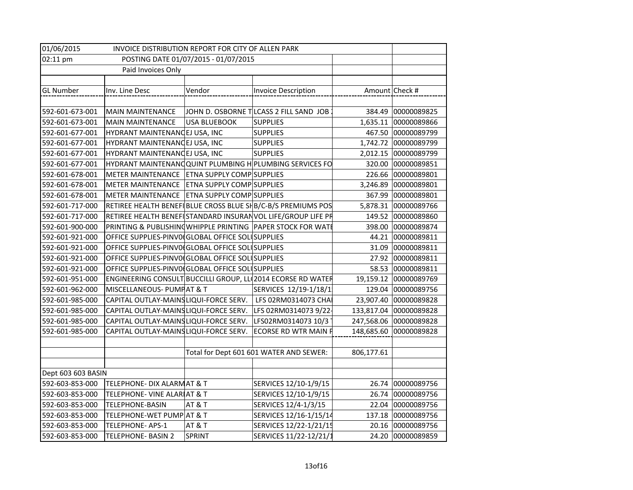| 01/06/2015<br>INVOICE DISTRIBUTION REPORT FOR CITY OF ALLEN PARK |                                                  |                                  |                                                             |                |                   |
|------------------------------------------------------------------|--------------------------------------------------|----------------------------------|-------------------------------------------------------------|----------------|-------------------|
| 02:11 pm<br>POSTING DATE 01/07/2015 - 01/07/2015                 |                                                  |                                  |                                                             |                |                   |
| Paid Invoices Only                                               |                                                  |                                  |                                                             |                |                   |
|                                                                  |                                                  |                                  |                                                             |                |                   |
| <b>GL Number</b>                                                 | Inv. Line Desc                                   | Vendor                           | <b>Invoice Description</b>                                  | Amount Check # |                   |
|                                                                  |                                                  |                                  |                                                             |                |                   |
| 592-601-673-001                                                  | <b>MAIN MAINTENANCE</b>                          |                                  | JOHN D. OSBORNE TLCASS 2 FILL SAND JOB                      | 384.49         | 00000089825       |
| 592-601-673-001                                                  | <b>MAIN MAINTENANCE</b>                          | <b>USA BLUEBOOK</b>              | <b>SUPPLIES</b>                                             | 1,635.11       | 00000089866       |
| 592-601-677-001                                                  | HYDRANT MAINTENANCEJ USA, INC                    |                                  | <b>SUPPLIES</b>                                             | 467.50         | 00000089799       |
| 592-601-677-001                                                  | HYDRANT MAINTENANCEJ USA, INC                    |                                  | <b>SUPPLIES</b>                                             | 1,742.72       | 00000089799       |
| 592-601-677-001                                                  | HYDRANT MAINTENANCEJ USA, INC                    |                                  | <b>SUPPLIES</b>                                             | 2,012.15       | 00000089799       |
| 592-601-677-001                                                  |                                                  |                                  | HYDRANT MAINTENANG QUINT PLUMBING H PLUMBING SERVICES FO    | 320.00         | 00000089851       |
| 592-601-678-001                                                  | METER MAINTENANCE                                | <b>ETNA SUPPLY COMP SUPPLIES</b> |                                                             | 226.66         | 00000089801       |
| 592-601-678-001                                                  | <b>METER MAINTENANCE</b>                         | <b>ETNA SUPPLY COMP SUPPLIES</b> |                                                             | 3,246.89       | 00000089801       |
| 592-601-678-001                                                  | METER MAINTENANCE                                | <b>ETNA SUPPLY COMP SUPPLIES</b> |                                                             | 367.99         | 00000089801       |
| 592-601-717-000                                                  |                                                  |                                  | RETIREE HEALTH BENEFIBLUE CROSS BLUE SHB/C-B/S PREMIUMS POS | 5,878.31       | 00000089766       |
| 592-601-717-000                                                  |                                                  |                                  | RETIREE HEALTH BENEFISTANDARD INSURANVOL LIFE/GROUP LIFE PR | 149.52         | 00000089860       |
| 592-601-900-000                                                  |                                                  |                                  | PRINTING & PUBLISHING WHIPPLE PRINTING PAPER STOCK FOR WATE | 398.00         | 00000089874       |
| 592-601-921-000                                                  | OFFICE SUPPLIES-PINVO(GLOBAL OFFICE SOL SUPPLIES |                                  |                                                             | 44.21          | 00000089811       |
| 592-601-921-000                                                  | OFFICE SUPPLIES-PINVO(GLOBAL OFFICE SOL SUPPLIES |                                  |                                                             | 31.09          | 00000089811       |
| 592-601-921-000                                                  | OFFICE SUPPLIES-PINVO(GLOBAL OFFICE SOL SUPPLIES |                                  |                                                             | 27.92          | 00000089811       |
| 592-601-921-000                                                  | OFFICE SUPPLIES-PINVO(GLOBAL OFFICE SOL SUPPLIES |                                  |                                                             | 58.53          | 00000089811       |
| 592-601-951-000                                                  |                                                  |                                  | ENGINEERING CONSULT BUCCILLI GROUP, LL 2014 ECORSE RD WATER | 19,159.12      | 00000089769       |
| 592-601-962-000                                                  | MISCELLANEOUS- PUMPAT & T                        |                                  | SERVICES 12/19-1/18/1                                       | 129.04         | 00000089756       |
| 592-601-985-000                                                  | CAPITAL OUTLAY-MAINS LIQUI-FORCE SERV.           |                                  | LFS 02RM0314073 CHA                                         | 23,907.40      | 00000089828       |
| 592-601-985-000                                                  | CAPITAL OUTLAY-MAINS LIQUI-FORCE SERV.           |                                  | LFS 02RM0314073 9/22-                                       | 133,817.04     | 00000089828       |
| 592-601-985-000                                                  | CAPITAL OUTLAY-MAINS LIQUI-FORCE SERV.           |                                  | LFS02RM0314073 10/3                                         | 247,568.06     | 00000089828       |
| 592-601-985-000                                                  | CAPITAL OUTLAY-MAINS LIQUI-FORCE SERV.           |                                  | ECORSE RD WTR MAIN F                                        | 148,685.60     | 00000089828       |
|                                                                  |                                                  |                                  |                                                             |                |                   |
|                                                                  |                                                  |                                  | Total for Dept 601 601 WATER AND SEWER:                     | 806,177.61     |                   |
|                                                                  |                                                  |                                  |                                                             |                |                   |
| Dept 603 603 BASIN                                               |                                                  |                                  |                                                             |                |                   |
| 592-603-853-000                                                  | TELEPHONE- DIX ALARMAT & T                       |                                  | SERVICES 12/10-1/9/15                                       | 26.74          | 00000089756       |
| 592-603-853-000                                                  | TELEPHONE- VINE ALARIAT & T                      |                                  | SERVICES 12/10-1/9/15                                       | 26.74          | 00000089756       |
| 592-603-853-000                                                  | TELEPHONE-BASIN                                  | AT&T                             | SERVICES 12/4-1/3/15                                        |                | 22.04 00000089756 |
| 592-603-853-000                                                  | TELEPHONE-WET PUMP AT & T                        |                                  | SERVICES 12/16-1/15/14                                      | 137.18         | 00000089756       |
| 592-603-853-000                                                  | TELEPHONE-APS-1                                  | AT&T                             | SERVICES 12/22-1/21/15                                      | 20.16          | 00000089756       |
| 592-603-853-000                                                  | TELEPHONE- BASIN 2                               | <b>SPRINT</b>                    | SERVICES 11/22-12/21/1                                      | 24.20          | 00000089859       |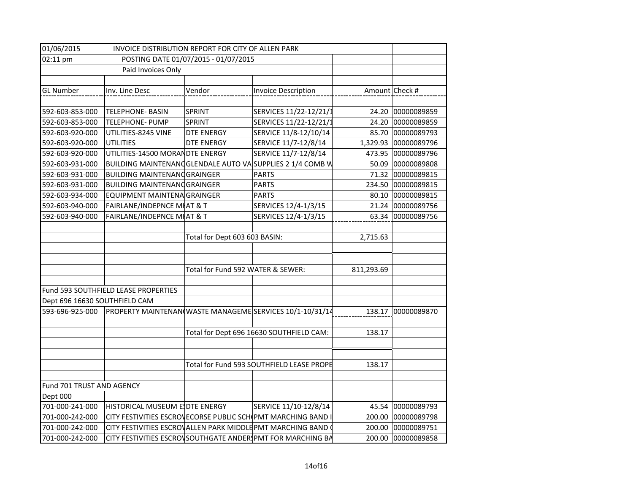| 01/06/2015                                       | INVOICE DISTRIBUTION REPORT FOR CITY OF ALLEN PARK         |                                   |                                                            |                |                    |
|--------------------------------------------------|------------------------------------------------------------|-----------------------------------|------------------------------------------------------------|----------------|--------------------|
| 02:11 pm<br>POSTING DATE 01/07/2015 - 01/07/2015 |                                                            |                                   |                                                            |                |                    |
| Paid Invoices Only                               |                                                            |                                   |                                                            |                |                    |
|                                                  |                                                            |                                   |                                                            |                |                    |
| <b>GL Number</b>                                 | Inv. Line Desc                                             | Vendor                            | <b>Invoice Description</b>                                 | Amount Check # |                    |
|                                                  |                                                            |                                   |                                                            |                |                    |
| 592-603-853-000                                  | <b>TELEPHONE- BASIN</b>                                    | <b>SPRINT</b>                     | SERVICES 11/22-12/21/1                                     |                | 24.20 00000089859  |
| 592-603-853-000                                  | <b>TELEPHONE- PUMP</b>                                     | <b>SPRINT</b>                     | SERVICES 11/22-12/21/1                                     |                | 24.20 00000089859  |
| 592-603-920-000                                  | UTILITIES-8245 VINE                                        | DTE ENERGY                        | SERVICE 11/8-12/10/14                                      |                | 85.70 00000089793  |
| 592-603-920-000                                  | <b>UTILITIES</b>                                           | <b>DTE ENERGY</b>                 | SERVICE 11/7-12/8/14                                       | 1,329.93       | 00000089796        |
| 592-603-920-000                                  | UTILITIES-14500 MORANDTE ENERGY                            |                                   | SERVICE 11/7-12/8/14                                       | 473.95         | 00000089796        |
| 592-603-931-000                                  |                                                            |                                   | BUILDING MAINTENANC GLENDALE AUTO VA SUPPLIES 2 1/4 COMB W | 50.09          | 00000089808        |
| 592-603-931-000                                  | <b>BUILDING MAINTENANC GRAINGER</b>                        |                                   | <b>PARTS</b>                                               | 71.32          | 00000089815        |
| 592-603-931-000                                  | <b>BUILDING MAINTENANCGRAINGER</b>                         |                                   | <b>PARTS</b>                                               |                | 234.50 00000089815 |
| 592-603-934-000                                  | EQUIPMENT MAINTENA GRAINGER                                |                                   | <b>PARTS</b>                                               | 80.10          | 00000089815        |
| 592-603-940-000                                  | FAIRLANE/INDEPNCE MI AT & T                                |                                   | SERVICES 12/4-1/3/15                                       | 21.24          | 00000089756        |
| 592-603-940-000                                  | FAIRLANE/INDEPNCE MI AT & T                                |                                   | SERVICES 12/4-1/3/15                                       | 63.34          | 00000089756        |
|                                                  |                                                            |                                   |                                                            |                |                    |
|                                                  |                                                            | Total for Dept 603 603 BASIN:     |                                                            | 2,715.63       |                    |
|                                                  |                                                            |                                   |                                                            |                |                    |
|                                                  |                                                            |                                   |                                                            |                |                    |
|                                                  |                                                            | Total for Fund 592 WATER & SEWER: |                                                            | 811,293.69     |                    |
|                                                  |                                                            |                                   |                                                            |                |                    |
|                                                  | Fund 593 SOUTHFIELD LEASE PROPERTIES                       |                                   |                                                            |                |                    |
| Dept 696 16630 SOUTHFIELD CAM                    |                                                            |                                   |                                                            |                |                    |
| 593-696-925-000                                  |                                                            |                                   | PROPERTY MAINTENAN WASTE MANAGEME SERVICES 10/1-10/31/14   | 138.17         | 00000089870        |
|                                                  |                                                            |                                   |                                                            |                |                    |
|                                                  |                                                            |                                   | Total for Dept 696 16630 SOUTHFIELD CAM:                   | 138.17         |                    |
|                                                  |                                                            |                                   |                                                            |                |                    |
|                                                  |                                                            |                                   |                                                            |                |                    |
|                                                  |                                                            |                                   | Total for Fund 593 SOUTHFIELD LEASE PROPE                  | 138.17         |                    |
|                                                  |                                                            |                                   |                                                            |                |                    |
| Fund 701 TRUST AND AGENCY                        |                                                            |                                   |                                                            |                |                    |
| Dept 000                                         |                                                            |                                   |                                                            |                |                    |
| 701-000-241-000                                  | HISTORICAL MUSEUM E DTE ENERGY                             |                                   | SERVICE 11/10-12/8/14                                      |                | 45.54 00000089793  |
| 701-000-242-000                                  | CITY FESTIVITIES ESCROVECORSE PUBLIC SCH PMT MARCHING BAND |                                   |                                                            |                | 200.00 00000089798 |
| 701-000-242-000                                  |                                                            |                                   | CITY FESTIVITIES ESCROVALLEN PARK MIDDLE PMT MARCHING BAND | 200.00         | 00000089751        |
| 701-000-242-000                                  |                                                            |                                   | CITY FESTIVITIES ESCROVSOUTHGATE ANDER PMT FOR MARCHING BA |                | 200.00 00000089858 |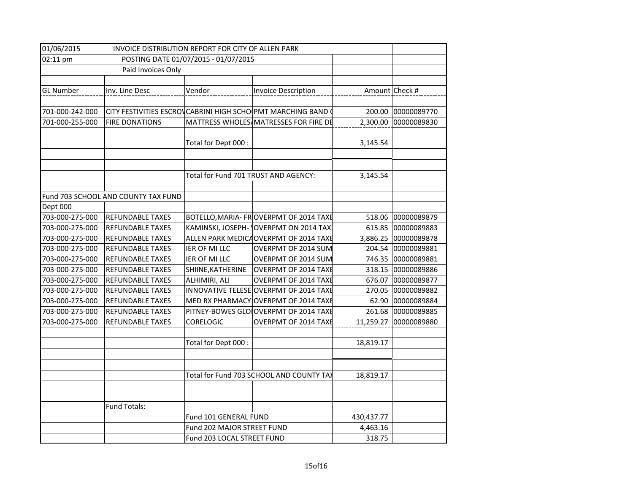| 01/06/2015         | INVOICE DISTRIBUTION REPORT FOR CITY OF ALLEN PARK |                                      |                                                               |            |                |
|--------------------|----------------------------------------------------|--------------------------------------|---------------------------------------------------------------|------------|----------------|
| 02:11 pm           |                                                    | POSTING DATE 01/07/2015 - 01/07/2015 |                                                               |            |                |
| Paid Invoices Only |                                                    |                                      |                                                               |            |                |
|                    |                                                    |                                      |                                                               |            |                |
| <b>GL Number</b>   | Inv. Line Desc                                     | Vendor                               | <b>Invoice Description</b>                                    |            | Amount Check # |
|                    |                                                    |                                      |                                                               |            |                |
| 701-000-242-000    |                                                    |                                      | CITY FESTIVITIES ESCROV CABRINI HIGH SCHO PMT MARCHING BAND ( | 200.00     | 00000089770    |
| 701-000-255-000    | <b>FIRE DONATIONS</b>                              |                                      | MATTRESS WHOLES MATRESSES FOR FIRE DE                         | 2,300.00   | 00000089830    |
|                    |                                                    |                                      |                                                               |            |                |
|                    |                                                    | Total for Dept 000 :                 |                                                               | 3,145.54   |                |
|                    |                                                    |                                      |                                                               |            |                |
|                    |                                                    |                                      |                                                               |            |                |
|                    |                                                    | Total for Fund 701 TRUST AND AGENCY: |                                                               | 3,145.54   |                |
|                    |                                                    |                                      |                                                               |            |                |
|                    | Fund 703 SCHOOL AND COUNTY TAX FUND                |                                      |                                                               |            |                |
| Dept 000           |                                                    |                                      |                                                               |            |                |
| 703-000-275-000    | <b>REFUNDABLE TAXES</b>                            |                                      | BOTELLO, MARIA- FROVERPMT OF 2014 TAXE                        | 518.06     | 00000089879    |
| 703-000-275-000    | <b>REFUNDABLE TAXES</b>                            |                                      | KAMINSKI, JOSEPH- OVERPMT ON 2014 TAX                         | 615.85     | 00000089883    |
| 703-000-275-000    | REFUNDABLE TAXES                                   |                                      | ALLEN PARK MEDICA OVERPMT OF 2014 TAXE                        | 3,886.25   | 00000089878    |
| 703-000-275-000    | <b>REFUNDABLE TAXES</b>                            | IER OF MI LLC                        | OVERPMT OF 2014 SUM                                           | 204.54     | 00000089881    |
| 703-000-275-000    | <b>REFUNDABLE TAXES</b>                            | IER OF MI LLC                        | OVERPMT OF 2014 SUM                                           | 746.35     | 00000089881    |
| 703-000-275-000    | REFUNDABLE TAXES                                   | SHIINE, KATHERINE                    | OVERPMT OF 2014 TAXE                                          | 318.15     | 00000089886    |
| 703-000-275-000    | <b>REFUNDABLE TAXES</b>                            | ALHIMIRI, ALI                        | OVERPMT OF 2014 TAXE                                          | 676.07     | 00000089877    |
| 703-000-275-000    | REFUNDABLE TAXES                                   |                                      | INNOVATIVE TELESE OVERPMT OF 2014 TAXE                        | 270.05     | 00000089882    |
| 703-000-275-000    | REFUNDABLE TAXES                                   |                                      | MED RX PHARMACY OVERPMT OF 2014 TAXE                          | 62.90      | 00000089884    |
| 703-000-275-000    | <b>REFUNDABLE TAXES</b>                            |                                      | PITNEY-BOWES GLOIOVERPMT OF 2014 TAXE                         | 261.68     | 00000089885    |
| 703-000-275-000    | <b>REFUNDABLE TAXES</b>                            | CORELOGIC                            | OVERPMT OF 2014 TAXE                                          | 11,259.27  | 00000089880    |
|                    |                                                    |                                      |                                                               |            |                |
|                    |                                                    | Total for Dept 000:                  |                                                               | 18,819.17  |                |
|                    |                                                    |                                      |                                                               |            |                |
|                    |                                                    |                                      |                                                               |            |                |
|                    |                                                    |                                      | Total for Fund 703 SCHOOL AND COUNTY TAX                      | 18,819.17  |                |
|                    |                                                    |                                      |                                                               |            |                |
|                    |                                                    |                                      |                                                               |            |                |
|                    | Fund Totals:                                       |                                      |                                                               |            |                |
|                    |                                                    | Fund 101 GENERAL FUND                |                                                               | 430,437.77 |                |
|                    |                                                    | Fund 202 MAJOR STREET FUND           |                                                               | 4,463.16   |                |
|                    |                                                    | Fund 203 LOCAL STREET FUND           |                                                               | 318.75     |                |